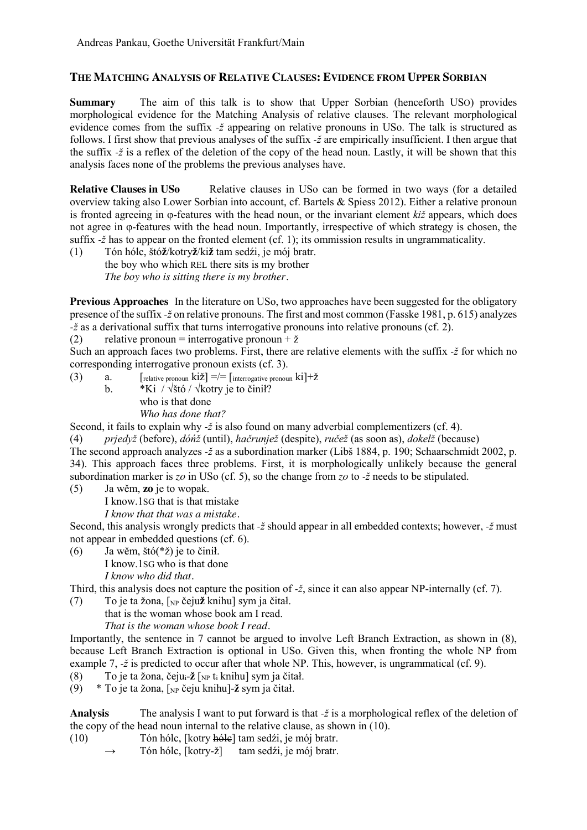## **THE MATCHING ANALYSIS OF RELATIVE CLAUSES: EVIDENCE FROM UPPER SORBIAN**

**Summary** The aim of this talk is to show that Upper Sorbian (henceforth USO) provides morphological evidence for the Matching Analysis of relative clauses. The relevant morphological evidence comes from the suffix *-ž* appearing on relative pronouns in USo. The talk is structured as follows. I first show that previous analyses of the suffix *-ž* are empirically insufficient. I then argue that the suffix *-ž* is a reflex of the deletion of the copy of the head noun. Lastly, it will be shown that this analysis faces none of the problems the previous analyses have.

**Relative Clauses in USo** Relative clauses in USo can be formed in two ways (for a detailed overview taking also Lower Sorbian into account, cf. Bartels & Spiess 2012). Either a relative pronoun is fronted agreeing in φ-features with the head noun, or the invariant element *kiž* appears, which does not agree in φ-features with the head noun. Importantly, irrespective of which strategy is chosen, the suffix *-ž* has to appear on the fronted element (cf. 1); its ommission results in ungrammaticality.

(1) Tón hólc, štó**ž**/kotry**ž**/ki**ž** tam sedźi, je mój bratr. the boy who which REL there sits is my brother *The boy who is sitting there is my brother.*

**Previous Approaches** In the literature on US<sub>0</sub>, two approaches have been suggested for the obligatory presence of the suffix *-ž* on relative pronouns. The first and most common (Fasske 1981, p. 615) analyzes *-ž* as a derivational suffix that turns interrogative pronouns into relative pronouns (cf. 2).

(2) relative pronoun = interrogative pronoun +  $\check{z}$ 

Such an approach faces two problems. First, there are relative elements with the suffix *-ž* for which no corresponding interrogative pronoun exists (cf. 3).

(3) a.  $\int$  [relative pronoun ki $\sum_{n=1}^{\infty}$ ] =/=  $\int$  interrogative pronoun ki $\int$ + $\zeta$ b. \*Ki / √štó / √kotry je to činił? who is that done *Who has done that?*

Second, it fails to explain why *-ž* is also found on many adverbial complementizers (cf. 4).

(4) *prjedyž* (before), *dóńž* (until), *hačrunjež* (despite), *ručež* (as soon as), *dokelž* (because) The second approach analyzes *-ž* as a subordination marker (Libš 1884, p. 190; Schaarschmidt 2002, p. 34). This approach faces three problems. First, it is morphologically unlikely because the general subordination marker is *zo* in USo (cf. 5), so the change from *zo* to *-ž* needs to be stipulated.

(5) Ja wěm, **zo** je to wopak.

I know.1SG that is that mistake

*I know that that was a mistake.*

Second, this analysis wrongly predicts that *-ž* should appear in all embedded contexts; however, *-ž* must not appear in embedded questions (cf. 6).

(6) Ja wěm, štó(\*ž) je to činił. I know.1SG who is that done *I know who did that.*

Third, this analysis does not capture the position of *-ž*, since it can also appear NP-internally (cf. 7).

(7) To je ta žona, [NP čeju**ž** knihu] sym ja čitał.

that is the woman whose book am I read. *That is the woman whose book I read.*

Importantly, the sentence in 7 cannot be argued to involve Left Branch Extraction, as shown in (8), because Left Branch Extraction is optional in USo. Given this, when fronting the whole NP from example 7,  $-\xi$  is predicted to occur after that whole NP. This, however, is ungrammatical (cf. 9).

(8) To je ta žona, čejui-**ž** [NP ti knihu] sym ja čitał.

(9) \* To je ta žona, [NP čeju knihu]-**ž** sym ja čitał.

**Analysis** The analysis I want to put forward is that  $-\xi$  is a morphological reflex of the deletion of the copy of the head noun internal to the relative clause, as shown in (10).

- (10) Tón hólc, [kotry hólc] tam sedźi, je mój bratr.
	- Tón hólc, [kotry-ž] tam sedźi, je mój bratr.